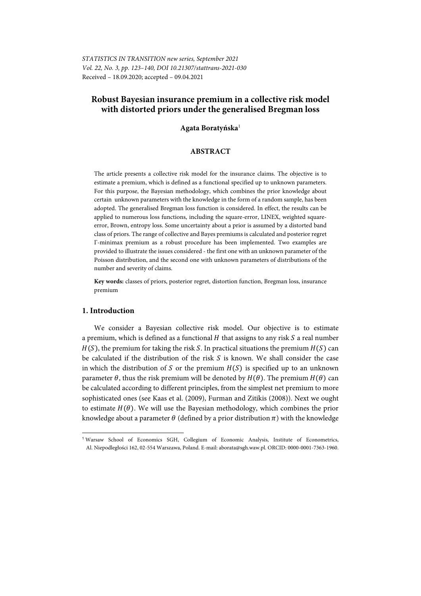*STATISTICS IN TRANSITION new series, September 2021 Vol. 22, No. 3, pp. 123–140, DOI 10.21307/stattrans-2021-030*  Received – 18.09.2020; accepted – 09.04.2021

# **Robust Bayesian insurance premium in a collective risk model with distorted priors under the generalised Bregman loss**

### **Agata Boratyńska**<sup>1</sup>

### **ABSTRACT**

The article presents a collective risk model for the insurance claims. The objective is to estimate a premium, which is defined as a functional specified up to unknown parameters. For this purpose, the Bayesian methodology, which combines the prior knowledge about certain unknown parameters with the knowledge in the form of a random sample, has been adopted. The generalised Bregman loss function is considered. In effect, the results can be applied to numerous loss functions, including the square-error, LINEX, weighted squareerror, Brown, entropy loss. Some uncertainty about a prior is assumed by a distorted band class of priors. The range of collective and Bayes premiums is calculated and posterior regret Γ-minimax premium as a robust procedure has been implemented. Two examples are provided to illustrate the issues considered - the first one with an unknown parameter of the Poisson distribution, and the second one with unknown parameters of distributions of the number and severity of claims.

**Key words:** classes of priors, posterior regret, distortion function, Bregman loss, insurance premium

### **1. Introduction**

l

We consider a Bayesian collective risk model. Our objective is to estimate a premium, which is defined as a functional  $H$  that assigns to any risk  $S$  a real number  $H(S)$ , the premium for taking the risk S. In practical situations the premium  $H(S)$  can be calculated if the distribution of the risk  $S$  is known. We shall consider the case in which the distribution of S or the premium  $H(S)$  is specified up to an unknown parameter  $\theta$ , thus the risk premium will be denoted by  $H(\theta)$ . The premium  $H(\theta)$  can be calculated according to different principles, from the simplest net premium to more sophisticated ones (see Kaas et al. (2009), Furman and Zitikis (2008)). Next we ought to estimate  $H(\theta)$ . We will use the Bayesian methodology, which combines the prior knowledge about a parameter  $\theta$  (defined by a prior distribution  $\pi$ ) with the knowledge

<sup>1</sup> Warsaw School of Economics SGH, Collegium of Economic Analysis, Institute of Econometrics, Al. Niepodległości 162, 02-554 Warszawa, Poland. E-mail: aborata@sgh.waw.pl. ORCID: 0000-0001-7363-1960.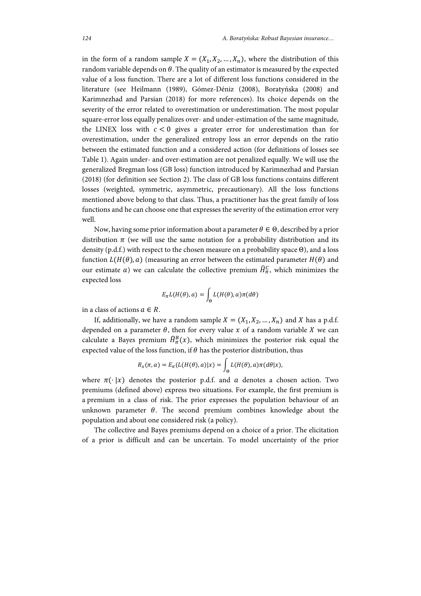in the form of a random sample  $X = (X_1, X_2, ..., X_n)$ , where the distribution of this random variable depends on  $\theta$ . The quality of an estimator is measured by the expected value of a loss function. There are a lot of different loss functions considered in the literature (see Heilmann (1989), Gómez-Déniz (2008), Boratyńska (2008) and Karimnezhad and Parsian (2018) for more references). Its choice depends on the severity of the error related to overestimation or underestimation. The most popular square-error loss equally penalizes over- and under-estimation of the same magnitude, the LINEX loss with  $c < 0$  gives a greater error for underestimation than for overestimation, under the generalized entropy loss an error depends on the ratio between the estimated function and a considered action (for definitions of losses see Table 1). Again under- and over-estimation are not penalized equally. We will use the generalized Bregman loss (GB loss) function introduced by Karimnezhad and Parsian (2018) (for definition see Section 2). The class of GB loss functions contains different losses (weighted, symmetric, asymmetric, precautionary). All the loss functions mentioned above belong to that class. Thus, a practitioner has the great family of loss functions and he can choose one that expresses the severity of the estimation error very well.

Now, having some prior information about a parameter  $\theta \in \Theta$ , described by a prior distribution  $\pi$  (we will use the same notation for a probability distribution and its density (p.d.f.) with respect to the chosen measure on a probability space  $\Theta$ ), and a loss function  $L(H(\theta), a)$  (measuring an error between the estimated parameter  $H(\theta)$  and our estimate a) we can calculate the collective premium  $\widehat{H}^C_{\pi}$ , which minimizes the expected loss

$$
E_{\pi}L(H(\theta),a) = \int_{\Theta} L(H(\theta),a)\pi(d\theta)
$$

in a class of actions  $a \in R$ .

If, additionally, we have a random sample  $X = (X_1, X_2, ..., X_n)$  and X has a p.d.f. depended on a parameter  $\theta$ , then for every value x of a random variable X we can calculate a Bayes premium  $\widehat{H}^B_\pi(x)$ , which minimizes the posterior risk equal the expected value of the loss function, if  $\theta$  has the posterior distribution, thus

$$
R_{\scriptscriptstyle \mathcal{X}}(\pi,a) = E_{\pi}(L(H(\theta),a)|x) = \int_{\Theta} L(H(\theta),a)\pi(d\theta|x),
$$

where  $\pi(\cdot | x)$  denotes the posterior p.d.f. and a denotes a chosen action. Two premiums (defined above) express two situations. For example, the first premium is a premium in a class of risk. The prior expresses the population behaviour of an unknown parameter  $\theta$ . The second premium combines knowledge about the population and about one considered risk (a policy).

The collective and Bayes premiums depend on a choice of a prior. The elicitation of a prior is difficult and can be uncertain. To model uncertainty of the prior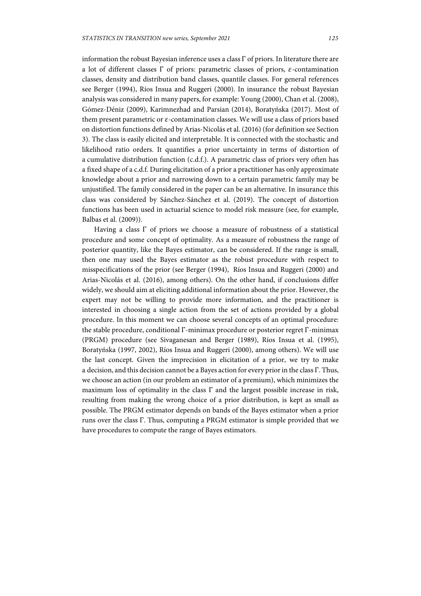information the robust Bayesian inference uses a class Γ of priors. In literature there are a lot of different classes  $\Gamma$  of priors: parametric classes of priors,  $\varepsilon$ -contamination classes, density and distribution band classes, quantile classes. For general references see Berger (1994), Ríos Insua and Ruggeri (2000). In insurance the robust Bayesian analysis was considered in many papers, for example: Young (2000), Chan et al. (2008), Gómez-Déniz (2009), Karimnezhad and Parsian (2014), Boratyńska (2017). Most of them present parametric or  $\varepsilon$ -contamination classes. We will use a class of priors based on distortion functions defined by Arias-Nicolás et al. (2016) (for definition see Section 3). The class is easily elicited and interpretable. It is connected with the stochastic and likelihood ratio orders. It quantifies a prior uncertainty in terms of distortion of a cumulative distribution function (c.d.f.). A parametric class of priors very often has a fixed shape of a c.d.f. During elicitation of a prior a practitioner has only approximate knowledge about a prior and narrowing down to a certain parametric family may be unjustified. The family considered in the paper can be an alternative. In insurance this class was considered by Sánchez-Sánchez et al. (2019). The concept of distortion functions has been used in actuarial science to model risk measure (see, for example, Balbas et al. (2009)).

Having a class Γ of priors we choose a measure of robustness of a statistical procedure and some concept of optimality. As a measure of robustness the range of posterior quantity, like the Bayes estimator, can be considered. If the range is small, then one may used the Bayes estimator as the robust procedure with respect to misspecifications of the prior (see Berger (1994), Ríos Insua and Ruggeri (2000) and Arias-Nicolás et al. (2016), among others). On the other hand, if conclusions differ widely, we should aim at eliciting additional information about the prior. However, the expert may not be willing to provide more information, and the practitioner is interested in choosing a single action from the set of actions provided by a global procedure. In this moment we can choose several concepts of an optimal procedure: the stable procedure, conditional Γ-minimax procedure or posterior regret Γ-minimax (PRGM) procedure (see Sivaganesan and Berger (1989), Ríos Insua et al. (1995), Boratyńska (1997, 2002), Ríos Insua and Ruggeri (2000), among others). We will use the last concept. Given the imprecision in elicitation of a prior, we try to make a decision, and this decision cannot be a Bayes action for every prior in the class Γ. Thus, we choose an action (in our problem an estimator of a premium), which minimizes the maximum loss of optimality in the class  $\Gamma$  and the largest possible increase in risk, resulting from making the wrong choice of a prior distribution, is kept as small as possible. The PRGM estimator depends on bands of the Bayes estimator when a prior runs over the class Γ. Thus, computing a PRGM estimator is simple provided that we have procedures to compute the range of Bayes estimators.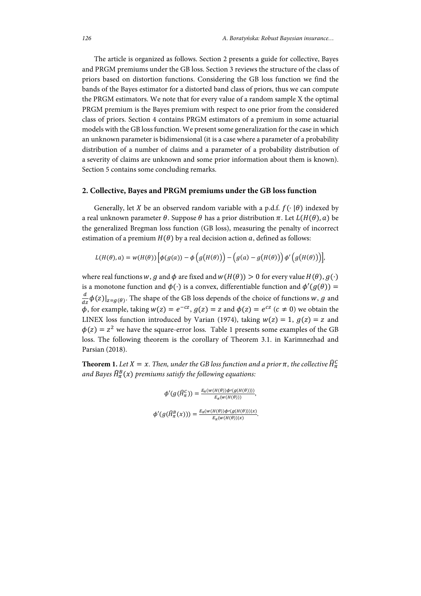The article is organized as follows. Section 2 presents a guide for collective, Bayes and PRGM premiums under the GB loss. Section 3 reviews the structure of the class of priors based on distortion functions. Considering the GB loss function we find the bands of the Bayes estimator for a distorted band class of priors, thus we can compute the PRGM estimators. We note that for every value of a random sample X the optimal PRGM premium is the Bayes premium with respect to one prior from the considered class of priors. Section 4 contains PRGM estimators of a premium in some actuarial models with the GB loss function. We present some generalization for the case in which an unknown parameter is bidimensional (it is a case where a parameter of a probability distribution of a number of claims and a parameter of a probability distribution of a severity of claims are unknown and some prior information about them is known). Section 5 contains some concluding remarks.

## **2. Collective, Bayes and PRGM premiums under the GB loss function**

Generally, let X be an observed random variable with a p.d.f.  $f(\cdot | \theta)$  indexed by a real unknown parameter  $\theta$ . Suppose  $\theta$  has a prior distribution  $\pi$ . Let  $L(H(\theta), \alpha)$  be the generalized Bregman loss function (GB loss), measuring the penalty of incorrect estimation of a premium  $H(\theta)$  by a real decision action a, defined as follows:

$$
L(H(\theta),a) = w(H(\theta)) \left[ \phi(g(a)) - \phi(g(H(\theta))) - (g(a) - g(H(\theta))) \phi'(g(H(\theta))) \right]
$$

where real functions w, g and  $\phi$  are fixed and  $w(H(\theta)) > 0$  for every value  $H(\theta), g(\cdot)$ is a monotone function and  $\phi(\cdot)$  is a convex, differentiable function and  $\phi'(g(\theta))$  =  $\frac{d}{dz}\phi(z)|_{z=g(\theta)}$ . The shape of the GB loss depends of the choice of functions w, g and  $\phi$ , for example, taking  $w(z) = e^{-cz}$ ,  $g(z) = z$  and  $\phi(z) = e^{cz}$  ( $c \neq 0$ ) we obtain the LINEX loss function introduced by Varian (1974), taking  $w(z) = 1$ ,  $q(z) = z$  and  $\phi(z) = z^2$  we have the square-error loss. Table 1 presents some examples of the GB loss. The following theorem is the corollary of Theorem 3.1. in Karimnezhad and Parsian (2018).

**Theorem 1.** Let  $X = x$ . Then, under the GB loss function and a prior  $\pi$ , the collective  $\widehat{H}_{\pi}^C$ and Bayes  $\widehat{H}^B_\pi(x)$  premiums satisfy the following equations:

$$
\phi'(g(\hat{H}_\pi^C)) = \frac{E_\pi(w(H(\theta))\phi'(g(H(\theta))))}{E_\pi(w(H(\theta)))},
$$
  

$$
\phi'(g(\hat{H}_\pi^B(x))) = \frac{E_\pi(w(H(\theta))\phi'(g(H(\theta)))|x)}{E_\pi(w(H(\theta))|x)}.
$$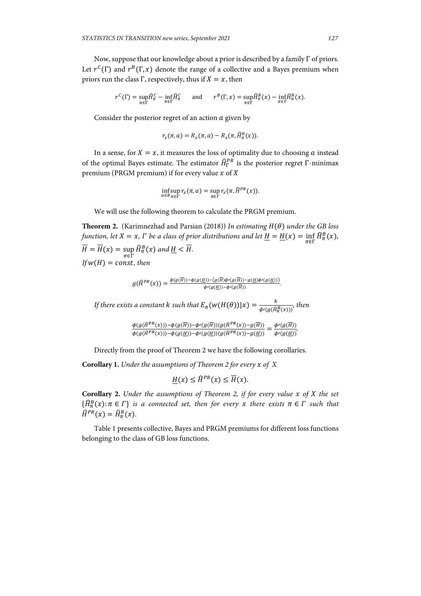Now, suppose that our knowledge about a prior is described by a family Γ of priors. Let  $r^{C}(\Gamma)$  and  $r^{B}(\Gamma, x)$  denote the range of a collective and a Bayes premium when priors run the class Γ, respectively, thus if  $X = x$ , then

$$
r^{C}(\Gamma) = \sup_{\pi \in \Gamma} \widehat{H}_{\pi}^{C} - \inf_{\pi \in \Gamma} \widehat{H}_{\pi}^{C} \quad \text{and} \quad r^{B}(\Gamma, x) = \sup_{\pi \in \Gamma} \widehat{H}_{\pi}^{B}(x) - \inf_{\pi \in \Gamma} \widehat{H}_{\pi}^{B}(x).
$$

Consider the posterior regret of an action  $a$  given by

$$
r_x(\pi, a) = R_x(\pi, a) - R_x(\pi, \widehat{H}^B_\pi(x)).
$$

In a sense, for  $X = x$ , it measures the loss of optimality due to choosing a instead of the optimal Bayes estimate. The estimator  $\widehat{H}^{PR}_\Gamma$  is the posterior regret  $\Gamma$ -minimax premium (PRGM premium) if for every value  $x$  of  $X$ 

$$
\inf_{a \in R} \sup_{\pi \in \Gamma} r_x(\pi, a) = \sup_{\pi \in \Gamma} r_x(\pi, \widehat{H}^{PR}(x)).
$$

We will use the following theorem to calculate the PRGM premium.

**Theorem 2.** (Karimnezhad and Parsian (2018)) *In estimating*  $H(\theta)$  *under the GB loss function, let*  $X = x$ *,*  $\Gamma$  *be a class of prior distributions and let*  $\underline{H} = \underline{H}(x) = \inf_{\pi \in \Gamma} \widehat{H}^B_\pi(x)$ *,*  $H = H(x) = \sup$  $\sup_{\pi \in \Gamma} \widehat{H}^{B}_{\pi}(x)$  and  $\underline{H} < \overline{H}.$  $If w(H) = const, then$ 

$$
g(\widehat{H}^{PR}(x)) = \frac{\phi(g(\overline{H})) - \phi(g(\underline{H})) - (g(\overline{H})\phi'(g(\overline{H})) - g(\underline{H})\phi'(g(\underline{H}))}{\phi'(g(\underline{H})) - \phi'(g(\overline{H}))}.
$$

*If there exists a constant k such that*  $E_{\pi}(w(H(\theta))|x) = \frac{k}{\phi'(g(\hat{H}_{\pi}^B(x)))}$ , then

$$
\frac{\phi(g(\widehat{H}^{PR}(x))) - \phi(g(\overline{H})) - \phi'(g(\overline{H})) (g(\widehat{H}^{PR}(x)) - g(\overline{H}))}{\phi(g(\widehat{H}^{PR}(x))) - \phi(g(\underline{H})) - \phi'(g(\underline{H})) (g(\widehat{H}^{PR}(x)) - g(\underline{H}))} = \frac{\phi'(g(\overline{H}))}{\phi'(g(\underline{H}))}.
$$

Directly from the proof of Theorem 2 we have the following corollaries.

**Corollary 1.** *Under the assumptions of Theorem 2 for every of X* 

$$
\underline{H}(x) \le \widehat{H}^{PR}(x) \le \overline{H}(x).
$$

**Corollary 2.** *Under the assumptions of Theorem 2, if for every value x of X the set*  $\{\widehat{H}_{\pi}^{B}(x): \pi \in \Gamma\}$  is a connected set, then for every x there exists  $\pi \in \Gamma$  such that  $\widehat{H}^{PR}(x) = \widehat{H}^B_{\pi}(x).$ 

Table 1 presents collective, Bayes and PRGM premiums for different loss functions belonging to the class of GB loss functions.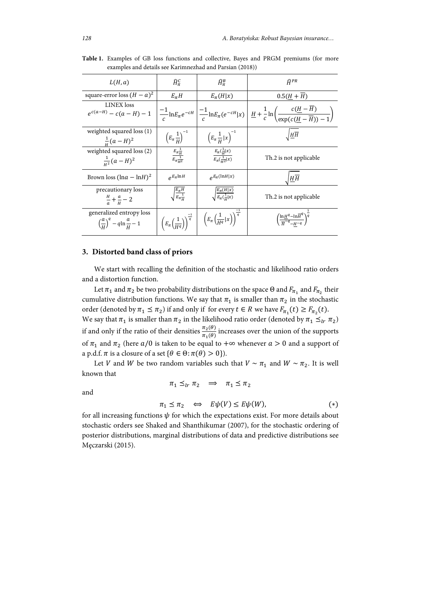| L(H, a)                                                                                | $\widehat{H}^{\mathcal{C}}_{\pi}$                     | $\widehat{H}^B_\pi$                                                                                                                          | $\widehat{H}^{PR}$                                                                                                                                                                                          |
|----------------------------------------------------------------------------------------|-------------------------------------------------------|----------------------------------------------------------------------------------------------------------------------------------------------|-------------------------------------------------------------------------------------------------------------------------------------------------------------------------------------------------------------|
| square-error loss $(H - a)^2$                                                          | $E_{\pi}H$                                            | $E_{\pi}(H x)$                                                                                                                               | $0.5(H+\overline{H})$                                                                                                                                                                                       |
| <b>LINEX</b> loss                                                                      |                                                       |                                                                                                                                              | $e^{c(a-H)}-c(a-H)-1\left \frac{-1}{c}\ln E_{\pi}e^{-cH}\left \frac{-1}{c}\ln E_{\pi}(e^{-cH} x)\right \frac{H}{c}+\frac{1}{c}\ln\left(\frac{c(\underline{H}-H)}{\exp(c(H-\overline{H})) -1}\right)\right $ |
| weighted squared loss (1)<br>$\frac{1}{u}(a-H)^2$                                      | $\left(E_{\pi}\frac{1}{H}\right)^{-1}$                | $\left(E_{\pi}\frac{1}{H} x\right)^{-1}$                                                                                                     | $\sqrt{HH}$                                                                                                                                                                                                 |
| weighted squared loss (2)<br>$\frac{1}{H^2}(a-H)^2$                                    | $\frac{E_{\pi} \frac{1}{H}}{E_{\pi} \frac{1}{\mu^2}}$ | $\frac{E_{\pi}(\frac{1}{H} x)}{E_{\pi}(\frac{1}{H^2} x)}$                                                                                    | Th.2 is not applicable                                                                                                                                                                                      |
| Brown loss $(\ln a - \ln H)^2$                                                         | $\rho E_{\pi}$ lnH                                    | $\rho E_{\pi}(\ln H x)$                                                                                                                      | $H\overline{H}$                                                                                                                                                                                             |
| precautionary loss<br>$\frac{H}{a} + \frac{a}{u} - 2$                                  | $\sqrt{\frac{E_{\pi}H}{E_{\pi} \frac{1}{\mu}}}$       | $\sqrt{\frac{E_{\pi}(H x)}{E_{\pi}(\frac{1}{n} x)}}$                                                                                         | Th.2 is not applicable                                                                                                                                                                                      |
| generalized entropy loss<br>$\left(\frac{a}{\mu}\right)^{q} - q \ln \frac{a}{\mu} - 1$ |                                                       | $\left(E_{\pi}\left(\frac{1}{H^{q}}\right)\right)^{\frac{-1}{q}}\ \Bigg \ \left(E_{\pi}\left(\frac{1}{H^{q}} x\right)\right)^{\frac{-1}{q}}$ | $\left(\frac{\ln \underline{H}^q - \ln \overline{H}^q}{\overline{u}^{-q} - u - q}\right)^{\overline{q}}$                                                                                                    |

**Table 1.** Examples of GB loss functions and collective, Bayes and PRGM premiums (for more examples and details see Karimnezhad and Parsian (2018))

### **3. Distorted band class of priors**

We start with recalling the definition of the stochastic and likelihood ratio orders and a distortion function.

Let  $\pi_1$  and  $\pi_2$  be two probability distributions on the space Θ and  $F_{\pi_1}$  and  $F_{\pi_2}$  their cumulative distribution functions. We say that  $\pi_1$  is smaller than  $\pi_2$  in the stochastic order (denoted by  $\pi_1 \leq \pi_2$ ) if and only if for every  $t \in R$  we have  $F_{\pi_1}(t) \geq F_{\pi_2}(t)$ . We say that  $\pi_1$  is smaller than  $\pi_2$  in the likelihood ratio order (denoted by  $\pi_1 \leq_{lr} \pi_2$ ) if and only if the ratio of their densities  $\frac{\pi_2(\theta)}{\pi_1(\theta)}$  increases over the union of the supports of  $\pi_1$  and  $\pi_2$  (here  $a/0$  is taken to be equal to + $\infty$  whenever  $a > 0$  and a support of a p.d.f.  $\pi$  is a closure of a set { $\theta \in \Theta$ :  $\pi(\theta) > 0$ }).

Let *V* and *W* be two random variables such that *V* ~  $\pi_1$  and *W* ~  $\pi_2$ . It is well known that

 $\pi_1 \leq_{lr} \pi_2 \implies \pi_1 \leq \pi_2$ 

and

$$
\pi_1 \le \pi_2 \quad \Longleftrightarrow \quad E\psi(V) \le E\psi(W), \tag{*}
$$

for all increasing functions  $\psi$  for which the expectations exist. For more details about stochastic orders see Shaked and Shanthikumar (2007), for the stochastic ordering of posterior distributions, marginal distributions of data and predictive distributions see Męczarski (2015).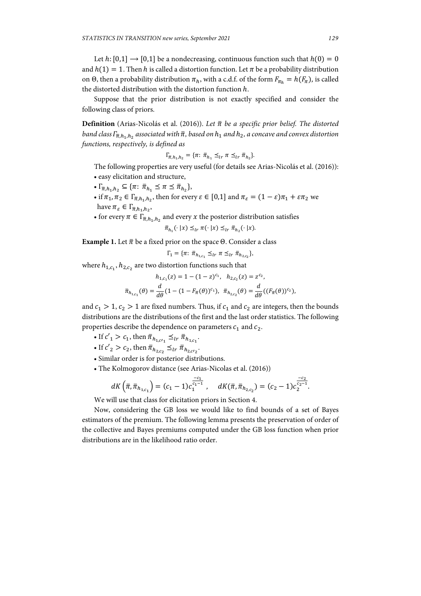Let  $h: [0,1] \rightarrow [0,1]$  be a nondecreasing, continuous function such that  $h(0) = 0$ and  $h(1) = 1$ . Then h is called a distortion function. Let  $\pi$  be a probability distribution on Θ, then a probability distribution  $\pi_h$ , with a c.d.f. of the form  $F_{\pi_h} = h(F_{\pi})$ , is called the distorted distribution with the distortion function  $h$ .

Suppose that the prior distribution is not exactly specified and consider the following class of priors.

**Definition** (Arias-Nicolás et al. (2016)). Let  $\bar{\pi}$  be a specific prior belief. The distorted *band class*  $\Gamma_{\bar{\pi},h_1,h_2}$  *associated with*  $\bar{\pi}$ *, based on*  $h_1$  *and*  $h_2$ *, a concave and convex distortion functions, respectively, is defined as* 

$$
\Gamma_{\bar{\pi},h_1,h_2} = \{ \pi: \bar{\pi}_{h_1} \leq_{lr} \pi \leq_{lr} \bar{\pi}_{h_2} \}.
$$

The following properties are very useful (for details see Arias-Nicolás et al. (2016)): • easy elicitation and structure,

- $\Gamma_{\bar{\pi},h_1,h_2} \subseteq {\pi: \bar{\pi}_{h_1} \leq \pi \leq \bar{\pi}_{h_2}},$
- if  $\pi_1, \pi_2 \in \Gamma_{\overline{\pi},h_1,h_2}$ , then for every  $\varepsilon \in [0,1]$  and  $\pi_{\varepsilon} = (1-\varepsilon)\pi_1 + \varepsilon\pi_2$  we have  $\pi_{\varepsilon} \in \Gamma_{\overline{\pi},h_1,h_2}$ ,
- for every  $\pi \in \Gamma_{\overline{\pi},h_1,h_2}$  and every x the posterior distribution satisfies

$$
\bar{\pi}_{h_1}(\cdot \mid x) \leq_{lr} \pi(\cdot \mid x) \leq_{lr} \bar{\pi}_{h_2}(\cdot \mid x).
$$

**Example 1.** Let  $\bar{\pi}$  be a fixed prior on the space  $\Theta$ . Consider a class

$$
\Gamma_1 = \{ \pi \colon \bar{\pi}_{h_{1,c_1}} \preceq_{lr} \pi \leq_{lr} \bar{\pi}_{h_{2,c_2}} \},
$$

where  $h_{1,c_1}, h_{2,c_2}$  are two distortion functions such that

$$
h_{1,c_1}(z) = 1 - (1 - z)^{c_1}, \quad h_{2,c_2}(z) = z^{c_2},
$$
  

$$
\bar{\pi}_{h_{1,c_1}}(\theta) = \frac{d}{d\theta} (1 - (1 - F_{\bar{\pi}}(\theta))^{c_1}), \quad \bar{\pi}_{h_{2,c_2}}(\theta) = \frac{d}{d\theta} ((F_{\bar{\pi}}(\theta))^{c_2}),
$$

and  $c_1 > 1$ ,  $c_2 > 1$  are fixed numbers. Thus, if  $c_1$  and  $c_2$  are integers, then the bounds distributions are the distributions of the first and the last order statistics. The following properties describe the dependence on parameters  $c_1$  and  $c_2$ .

- If  $c'_1 > c_1$ , then  $\bar{\pi}_{h_{1,c'_1}} \leq_{lr} \bar{\pi}_{h_{1,c_1}}$ .
- If  $c'_2 > c_2$ , then  $\bar{\pi}_{h_{2,c_2}} \leq_{lr} \bar{\pi}_{h_{2, c r_2}}$ .
	- Similar order is for posterior distributions.
	- The Kolmogorov distance (see Arias-Nicolas et al. (2016))

$$
dK\left(\bar{\pi},\bar{\pi}_{h_{1,c_1}}\right)=(c_1-1)c_1^{\frac{-c_1}{c_1-1}},\quad dK(\bar{\pi},\bar{\pi}_{h_{2,c_2}})=(c_2-1)c_2^{\frac{-c_2}{c_2-1}}.
$$

We will use that class for elicitation priors in Section 4.

Now, considering the GB loss we would like to find bounds of a set of Bayes estimators of the premium. The following lemma presents the preservation of order of the collective and Bayes premiums computed under the GB loss function when prior distributions are in the likelihood ratio order.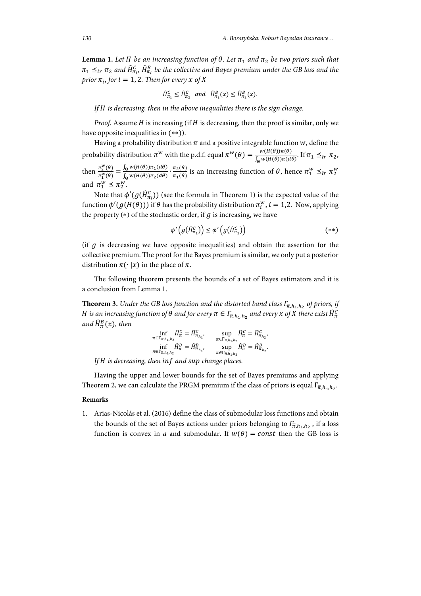**Lemma 1.** Let *H* be an increasing function of  $\theta$ . Let  $\pi_1$  and  $\pi_2$  be two priors such that  $\pi_1 \preceq_{lr} \pi_2$  and  $\widehat{H}^{\mathcal{C}}_{\pi_l},\widehat{H}^B_{\pi_l}$  be the collective and Bayes premium under the GB loss and the *prior*  $\pi_i$ *, for*  $i = 1, 2$ *. Then for every*  $x$  *of*  $X$ 

$$
\widehat{H}_{\pi_1}^{\mathcal{C}} \le \widehat{H}_{\pi_2}^{\mathcal{C}} \quad \text{and} \quad \widehat{H}_{\pi_1}^{\mathcal{B}}(x) \le \widehat{H}_{\pi_2}^{\mathcal{B}}(x).
$$

*If is decreasing, then in the above inequalities there is the sign change.* 

*Proof.* Assume  $H$  is increasing (if  $H$  is decreasing, then the proof is similar, only we have opposite inequalities in  $(**)$ ).

Having a probability distribution  $\pi$  and a positive integrable function  $w$ , define the probability distribution  $\pi^w$  with the p.d.f. equal  $\pi^w(\theta) = \frac{w(H(\theta))\pi(\theta)}{\int_{\Theta} w(H(\theta))\pi(d\theta)}$ . If  $\pi_1 \leq_{lr} \pi_2$ , then  $\frac{\pi_2^w(\theta)}{w(\theta)}$  $\frac{\pi_2^w(\theta)}{\pi_1^w(\theta)} = \frac{\int_{\Theta} w(H(\theta)) \pi_1(d\theta)}{\int_{\Theta} w(H(\theta)) \pi_2(d\theta)}$ .  $\frac{\pi_2(\theta)}{\pi_1(\theta)}$  is an increasing function of  $\theta$ , hence  $\pi_1^W \leq_{lr} \pi_2^W$ and  $\pi_1^w \leq \pi_2^w$ .

Note that  $\phi'(g(\widehat{H}^C_{\pi_i}))$  (see the formula in Theorem 1) is the expected value of the function  $\phi'(g(H(\theta)))$  if  $\theta$  has the probability distribution  $\pi_i^w$ ,  $i = 1,2$ . Now, applying the property  $(*)$  of the stochastic order, if  $g$  is increasing, we have

$$
\phi'\left(g\left(\widehat{H}_{\pi_1}^C\right)\right) \le \phi'\left(g\left(\widehat{H}_{\pi_2}^C\right)\right) \tag{**}
$$

(if  $g$  is decreasing we have opposite inequalities) and obtain the assertion for the collective premium. The proof for the Bayes premium is similar, we only put a posterior distribution  $\pi(\cdot | x)$  in the place of  $\pi$ .

The following theorem presents the bounds of a set of Bayes estimators and it is a conclusion from Lemma 1.

**Theorem 3.** *Under the GB loss function and the distorted band class*  $\Gamma_{\bar{\pi},h_1,h_2}$  *of priors, if*  $H$  is an increasing function of  $\theta$  and for every  $\pi\in\varGamma_{\overline{\pi},h_1,h_2}$  and every  $x$  of  $X$  there exist  $\widehat{H}^{\mathcal{C}}_\pi$ and  $\widehat{H}^B_{\pi}(\boldsymbol{x})$ , then

$$
\inf_{\pi \in \Gamma_{\overline{n},h_1,h_2}} \hat{H}_{\pi}^G = \hat{H}_{\overline{n}_{h_1}}^G, \quad \sup_{\pi \in \Gamma_{\overline{n},h_1,h_2}} \hat{H}_{\pi}^G = \hat{H}_{\overline{n}_{h_2}}^G,
$$
\n
$$
\inf_{\pi \in \Gamma_{\overline{n},h_1,h_2}} \hat{H}_{\pi}^B = \hat{H}_{\overline{n}_{h_1}}^B, \quad \sup_{\pi \in \Gamma_{\overline{n},h_1,h_2}} \hat{H}_{\pi}^B = \hat{H}_{\overline{n}_{h_2}}^B.
$$

*If is decreasing, then and change places.*

Having the upper and lower bounds for the set of Bayes premiums and applying Theorem 2, we can calculate the PRGM premium if the class of priors is equal  $\Gamma_{\overline{n},h,h,\cdot}$ 

#### **Remarks**

1. Arias-Nicolás et al. (2016) define the class of submodular loss functions and obtain the bounds of the set of Bayes actions under priors belonging to  $\Gamma_{\bar{\pi},h_1,h_2}$ , if a loss function is convex in *a* and submodular. If  $w(\theta) = const$  then the GB loss is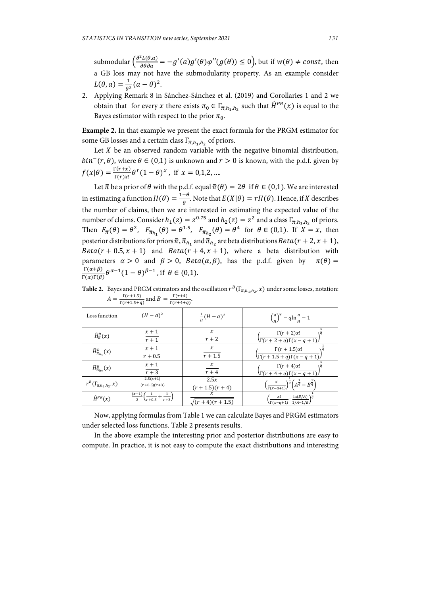submodular  $\left(\frac{\partial^2 L(\theta, a)}{\partial \theta \partial a}\right) = -g'(a)g'(\theta)\varphi''(g(\theta)) \le 0$ , but if  $w(\theta) \ne const$ , then a GB loss may not have the submodularity property. As an example consider  $L(\theta, a) = \frac{1}{\theta^2} (a - \theta)^2.$ 

2. Applying Remark 8 in Sánchez-Sánchez et al. (2019) and Corollaries 1 and 2 we obtain that for every x there exists  $\pi_0 \in \Gamma_{\overline{\pi},h_1,h_2}$  such that  $\widehat{H}^{PR}(x)$  is equal to the Bayes estimator with respect to the prior  $\pi_0$ .

**Example 2.** In that example we present the exact formula for the PRGM estimator for some GB losses and a certain class  $\Gamma_{\overline{n},h_1,h_2}$  of priors.

Let  $X$  be an observed random variable with the negative binomial distribution,  $bin^{-}(r, \theta)$ , where  $\theta \in (0,1)$  is unknown and  $r > 0$  is known, with the p.d.f. given by  $f(x|\theta) = \frac{\Gamma(r+x)}{\Gamma(r)x!} \theta^r (1-\theta)^x$ , if  $x = 0,1,2,...$ 

Let  $\bar{\pi}$  be a prior of  $\theta$  with the p.d.f. equal  $\bar{\pi}(\theta) = 2\theta$  if  $\theta \in (0,1)$ . We are interested in estimating a function  $H(\theta) = \frac{1-\theta}{\theta}$ . Note that  $E(X|\theta) = rH(\theta)$ . Hence, if X describes the number of claims, then we are interested in estimating the expected value of the number of claims. Consider  $h_1(z) = z^{0.75}$  and  $h_2(z) = z^2$  and a class  $\Gamma_{\bar{\pi},h_1,h_2}$  of priors. Then  $F_{\overline{\pi}}(\theta) = \theta^2$ ,  $F_{\overline{\pi}_{h_1}}(\theta) = \theta^{1.5}$ ,  $F_{\overline{\pi}_{h_2}}(\theta) = \theta^4$  for  $\theta \in (0,1)$ . If  $X = x$ , then posterior distributions for priors  $\bar{\pi}, \bar{\pi}_{h_1}$  and  $\bar{\pi}_{h_2}$  are beta distributions  $Beta(r + 2, x + 1)$ ,  $Beta(r + 0.5, x + 1)$  and  $Beta(r + 4, x + 1)$ , where a beta distribution with parameters  $\alpha > 0$  and  $\beta > 0$ ,  $Beta(\alpha, \beta)$ , has the p.d.f. given by  $\pi(\theta) =$  $\Gamma(\alpha+\beta)$  $\frac{\Gamma(\alpha+\beta)}{\Gamma(\alpha)\Gamma(\beta)} \theta^{\alpha-1} (1-\theta)^{\beta-1}$ , if  $\theta \in (0,1)$ .

**Table 2.** Bayes and PRGM estimators and the oscillation  $r^B(\Gamma_{\overline{n},h_1,h_2},x)$  under some losses, notation:  $A = \frac{\Gamma(r+1.5)}{\Gamma(r+1.5+q)}$  and  $B = \frac{\Gamma(r+4)}{\Gamma(r+4+q)}$ .

| Loss function                             | $(H - a)^2$                                                                             | $\frac{1}{u}(H-a)^2$           | $\left(\frac{a}{u}\right)^q - q \ln \frac{a}{u} - 1$                                                                                                              |  |
|-------------------------------------------|-----------------------------------------------------------------------------------------|--------------------------------|-------------------------------------------------------------------------------------------------------------------------------------------------------------------|--|
| $\widehat{H}^B_{\overline{n}}(x)$         | $x + 1$<br>$\overline{r+1}$                                                             | x<br>$r+2$                     | $\Gamma(r+2)x!$<br>$\Gamma(r+2+q)\Gamma(x-q+1)$                                                                                                                   |  |
| $\widehat{H}^B_{\overline{\pi}_{h_1}}(x)$ | $x + 1$<br>$r + 0.5$                                                                    | $\boldsymbol{\chi}$<br>$r+1.5$ | $\Gamma(r+1.5)x!$<br>$\Gamma(r+1.5+q)\Gamma(x-q+1)$                                                                                                               |  |
| $\widehat{H}^B_{\overline{n}_h, x}(x)$    | $x + 1$<br>$\overline{r+3}$                                                             | $\frac{x}{r+4}$                | $\Gamma(r+4)x!$<br>$\Gamma(r+4+q)\Gamma(x-q+1)$                                                                                                                   |  |
| $r^B(\Gamma_{\overline{n},h_1,h_2},x)$    | $2.5(x+1)$<br>$(r+0.5)(r+3)$                                                            | 2.5x<br>$(r + 1.5)(r + 4)$     | $\left(\frac{x!}{\Gamma(x-q+1)}\right)^{\hspace{-0.15cm}\frac{1}{q}}\hspace{-0.15cm}\left(A^{\hspace{-0.15cm}\frac{1}{q}}-B^{\hspace{-0.15cm}\frac{1}{q}}\right)$ |  |
| $\widehat{H}^{PR}(x)$                     | $\frac{(x+1)}{x+1}$<br>$\left(\frac{1}{r+0.5} + \frac{1}{r+3}\right)$<br>$\overline{2}$ | $(r + 4)(r + 1.5)$             | $\ln(B/A)$<br>x!<br>$\Gamma(x-q+1)$ $1/A-1/B$                                                                                                                     |  |

Now, applying formulas from Table 1 we can calculate Bayes and PRGM estimators under selected loss functions. Table 2 presents results.

In the above example the interesting prior and posterior distributions are easy to compute. In practice, it is not easy to compute the exact distributions and interesting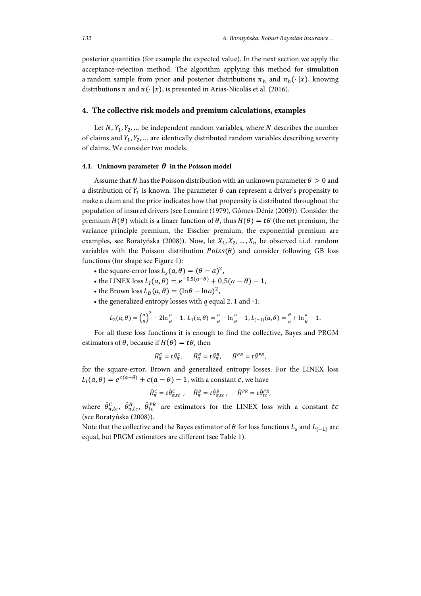posterior quantities (for example the expected value). In the next section we apply the acceptance-rejection method. The algorithm applying this method for simulation a random sample from prior and posterior distributions  $\pi_h$  and  $\pi_h(\cdot | x)$ , knowing distributions  $\pi$  and  $\pi(\cdot | x)$ , is presented in Arias-Nicolás et al. (2016).

#### **4. The collective risk models and premium calculations, examples**

Let  $N$ ,  $Y_1, Y_2, ...$  be independent random variables, where N describes the number of claims and  $Y_1, Y_2, ...$  are identically distributed random variables describing severity of claims. We consider two models.

#### **4.1.** Unknown parameter  $\theta$  in the Poisson model

Assume that N has the Poisson distribution with an unknown parameter  $\theta > 0$  and a distribution of  $Y_1$  is known. The parameter  $\theta$  can represent a driver's propensity to make a claim and the prior indicates how that propensity is distributed throughout the population of insured drivers (see Lemaire (1979), Gómes-Déniz (2009)). Consider the premium  $H(\theta)$  which is a linaer function of  $\theta$ , thus  $H(\theta) = t\theta$  (the net premium, the variance principle premium, the Esscher premium, the exponential premium are examples, see Boratyńska (2008)). Now, let  $X_1, X_2, ..., X_n$  be observed i.i.d. random variables with the Poisson distribution  $Poiss(\theta)$  and consider following GB loss functions (for shape see Figure 1):

- the square-error loss  $L_S(a, \theta) = (\theta a)^2$ ,
- the LINEX loss  $L_l(a, \theta) = e^{-0.5(a-\theta)} + 0.5(a-\theta) 1$ ,
- the Brown loss  $L_B(a, \theta) = (\ln \theta \ln \alpha)^2$ ,
- the generalized entropy losses with *q* equal 2, 1 and -1:

$$
L_2(a, \theta) = \left(\frac{a}{\theta}\right)^2 - 2\ln\frac{a}{\theta} - 1, L_1(a, \theta) = \frac{a}{\theta} - \ln\frac{a}{\theta} - 1, L_{(-1)}(a, \theta) = \frac{a}{a} + \ln\frac{a}{\theta} - 1.
$$

For all these loss functions it is enough to find the collective, Bayes and PRGM estimators of  $\theta$ , because if  $H(\theta) = t\theta$ , then

$$
\widehat{H}_{\pi}^C = t \widehat{\theta}_{\pi}^C, \qquad \widehat{H}_{\pi}^B = t \widehat{\theta}_{\pi}^B, \qquad \widehat{H}^{PR} = t \widehat{\theta}^{PR},
$$

for the square-error, Brown and generalized entropy losses. For the LINEX loss  $L_1(a, \theta) = e^{c(a-\theta)} + c(a-\theta) - 1$ , with a constant c, we have

$$
\widehat{H}_{\pi}^C = t \widehat{\theta}_{\pi,tc}^C \ , \quad \widehat{H}_{\pi}^B = t \widehat{\theta}_{\pi,tc}^B \ , \quad \widehat{H}^{PR} = t \widehat{\theta}_{tc}^{PR} ,
$$

where  $\hat{\theta}^C_{\pi,tc}$ ,  $\hat{\theta}^R_{\pi,tc}$ ,  $\hat{\theta}^{PR}_{tc}$  are estimators for the LINEX loss with a constant to (see Boratyńska (2008)).

Note that the collective and the Bayes estimator of  $\theta$  for loss functions  $L_s$  and  $L_{(-1)}$  are equal, but PRGM estimators are different (see Table 1).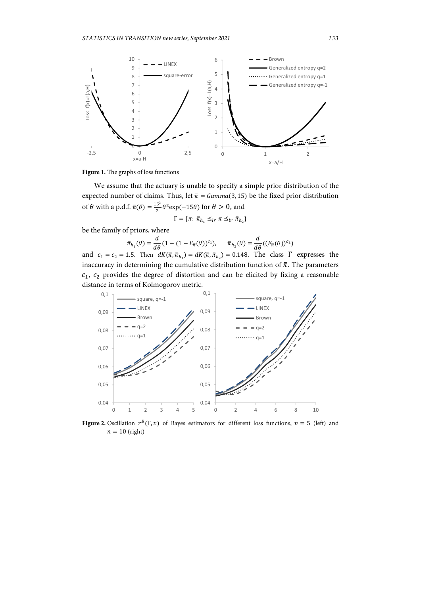

**Figure 1.** The graphs of loss functions

We assume that the actuary is unable to specify a simple prior distribution of the expected number of claims. Thus, let  $\bar{\pi} = Gamma(3, 15)$  be the fixed prior distribution of  $\theta$  with a p.d.f.  $\bar{\pi}(\theta) = \frac{15^3}{2} \theta^2 \exp(-15\theta)$  for  $\theta > 0$ , and

$$
\Gamma = \{ \pi \colon \bar{\pi}_{h_1} \leq_{lr} \pi \leq_{lr} \bar{\pi}_{h_2} \}
$$

be the family of priors, where

$$
\overline{\pi}_{h_1}(\theta) = \frac{d}{d\theta} (1 - (1 - F_{\overline{\pi}}(\theta))^{c_1}), \quad \overline{\pi}_{h_2}(\theta) = \frac{d}{d\theta} ((F_{\overline{\pi}}(\theta))^{c_2})
$$

and  $c_1 = c_2 = 1.5$ . Then  $dK(\bar{\pi}, \bar{\pi}_{h_1}) = dK(\bar{\pi}, \bar{\pi}_{h_2}) = 0.148$ . The class  $\Gamma$  expresses the inaccuracy in determining the cumulative distribution function of  $\bar{\pi}$ . The parameters  $c_1$ ,  $c_2$  provides the degree of distortion and can be elicited by fixing a reasonable distance in terms of Kolmogorov metric.



**Figure 2.** Oscillation  $r^B(\Gamma, x)$  of Bayes estimators for different loss functions,  $n = 5$  (left) and  $n = 10$  (right)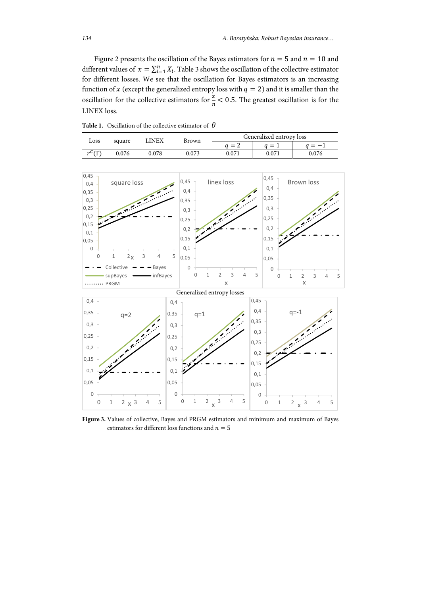Figure 2 presents the oscillation of the Bayes estimators for  $n = 5$  and  $n = 10$  and different values of  $x = \sum_{i=1}^{n} X_i$ . Table 3 shows the oscillation of the collective estimator for different losses. We see that the oscillation for Bayes estimators is an increasing function of x (except the generalized entropy loss with  $q = 2$ ) and it is smaller than the oscillation for the collective estimators for  $\frac{x}{n}$  < 0.5. The greatest oscillation is for the LINEX loss.

| <b>Table 1.</b> Oscillation of the collective estimator of $\theta$ |       |              |       |                          |       |       |  |  |  |
|---------------------------------------------------------------------|-------|--------------|-------|--------------------------|-------|-------|--|--|--|
| Loss<br>square                                                      |       | <b>LINEX</b> | Brown | Generalized entropy loss |       |       |  |  |  |
|                                                                     |       |              |       | $a = 2$                  | $=1$  |       |  |  |  |
| $r^C(\Gamma)$                                                       | 0.076 | 0.078        | 0.073 | 0.071                    | 0.071 | 0.076 |  |  |  |

0,45 0,45  $0,45$ square loss linex loss Brown loss 0,4 0,4 0,4 0,35 0,35 0,3 0,35  $0,25$ 0,3 0,3 0,2 0,25  $0,25$ ◢  $0,15$ 0,2  $0,2$ 0,1  $0.15$ 0,15  $|_{0,05}$ 0  $0,1$  $0,1$ 0 1  $2x$  3 4 5 0,05 0,05 Collective  $-\frac{1}{2}$  - Bayes .. 0  $\overline{0}$ supBayes **infBayes** 012345 012345 ........ PRGM x x Generalized entropy losses 0,45 0,4 0,4 0,4 q=‐1 0,35 0,35 q=2  $q=1$ 0,35 0,3 0,3 0,3  $|0,25$ 0,25  $0,25$ I. 0,2 0,2  $0,2$  $|0,15$  $0,15$  $0,15$  $0,1$  $0,1$  $0,1$  $|0,05$ 0,05 0,05

**Figure 3.** Values of collective, Bayes and PRGM estimators and minimum and maximum of Bayes estimators for different loss functions and  $n = 5$ 

0 1 2  $\times$  3 4 5

0

0 1 2  $\times$  3 4 5

0

 $\overline{0}$ 

0 1 2  $\times$  3 4 5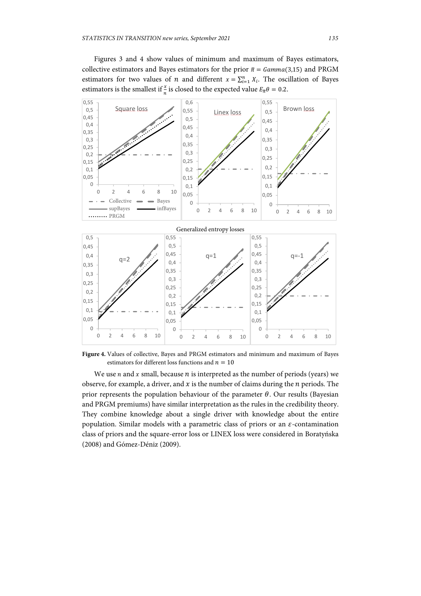Figures 3 and 4 show values of minimum and maximum of Bayes estimators, collective estimators and Bayes estimators for the prior  $\bar{\pi} = \text{Gamma}(3,15)$  and PRGM estimators for two values of *n* and different  $x = \sum_{i=1}^{n} X_i$ . The oscillation of Bayes estimators is the smallest if  $\frac{x}{n}$  is closed to the expected value  $E_{\overline{n}}\theta = 0.2$ .



**Figure 4.** Values of collective, Bayes and PRGM estimators and minimum and maximum of Bayes estimators for different loss functions and  $n = 10$ 

We use  $n$  and  $x$  small, because  $n$  is interpreted as the number of periods (years) we observe, for example, a driver, and  $x$  is the number of claims during the  $n$  periods. The prior represents the population behaviour of the parameter  $\theta$ . Our results (Bayesian and PRGM premiums) have similar interpretation as the rules in the credibility theory. They combine knowledge about a single driver with knowledge about the entire population. Similar models with a parametric class of priors or an  $\varepsilon$ -contamination class of priors and the square-error loss or LINEX loss were considered in Boratyńska (2008) and Gómez-Déniz (2009).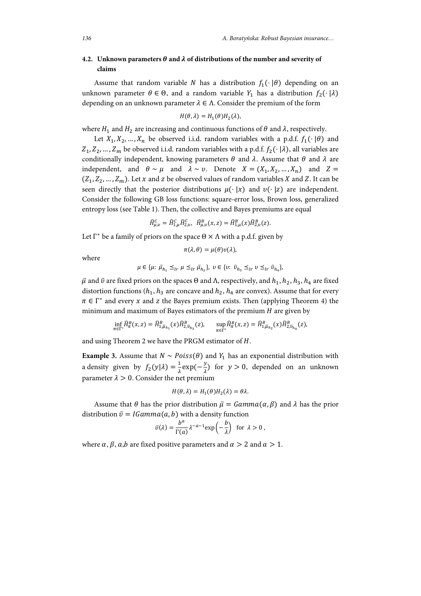## **4.2. Unknown parameters**  $\theta$  **and**  $\lambda$  **of distributions of the number and severity of claims**

Assume that random variable N has a distribution  $f_1(\cdot | \theta)$  depending on an unknown parameter  $\theta \in \Theta$ , and a random variable  $Y_1$  has a distribution  $f_2(\cdot | \lambda)$ depending on an unknown parameter  $\lambda \in \Lambda$ . Consider the premium of the form

$$
H(\theta,\lambda)=H_1(\theta)H_2(\lambda),
$$

where  $H_1$  and  $H_2$  are increasing and continuous functions of  $\theta$  and  $\lambda$ , respectively.

Let  $X_1, X_2, ..., X_n$  be observed i.i.d. random variables with a p.d.f.  $f_1(\cdot | \theta)$  and  $Z_1, Z_2, ..., Z_m$  be observed i.i.d. random variables with a p.d.f.  $f_2(\cdot | \lambda)$ , all variables are conditionally independent, knowing parameters  $\theta$  and  $\lambda$ . Assume that  $\theta$  and  $\lambda$  are independent, and  $\theta \sim \mu$  and  $\lambda \sim \nu$ . Denote  $X = (X_1, X_2, ..., X_n)$  and  $Z =$  $(Z_1, Z_2, ..., Z_m)$ . Let x and z be observed values of random variables X and Z. It can be seen directly that the posterior distributions  $\mu(\cdot | x)$  and  $v(\cdot | z)$  are independent. Consider the following GB loss functions: square-error loss, Brown loss, generalized entropy loss (see Table 1). Then, the collective and Bayes premiums are equal

$$
\widehat{H}^C_{\mu,\upsilon} = \widehat{H}^C_{1,\mu} \widehat{H}^C_{2,\upsilon}, \quad \widehat{H}^B_{\mu,\upsilon}(x,z) = \widehat{H}^B_{1,\mu}(x) \widehat{H}^B_{2,\upsilon}(z).
$$

Let  $\Gamma^*$  be a family of priors on the space  $\Theta \times \Lambda$  with a p.d.f. given by

$$
\pi(\lambda,\theta)=\mu(\theta)v(\lambda),
$$

where

$$
\mu \in \{\mu: \ \bar{\mu}_{h_1} \leq_{lr} \mu \leq_{lr} \bar{\mu}_{h_2}\}, \ v \in \{v: \ \bar{v}_{h_3} \leq_{lr} v \leq_{lr} \bar{v}_{h_4}\},\
$$

 $\bar{\mu}$  and  $\bar{\nu}$  are fixed priors on the spaces  $\Theta$  and  $\Lambda$ , respectively, and  $h_1, h_2, h_3, h_4$  are fixed distortion functions ( $h_1$ ,  $h_3$  are concave and  $h_2$ ,  $h_4$  are convex). Assume that for every  $\pi \in \Gamma^*$  and every x and z the Bayes premium exists. Then (applying Theorem 4) the minimum and maximum of Bayes estimators of the premium  $H$  are given by

$$
\inf_{\pi \in \Gamma^*} \hat{H}^B_{\pi}(x, z) = \hat{H}^B_{1, \bar{\mu}_{h_1}}(x) \hat{H}^B_{2, \bar{\nu}_{h_3}}(z), \quad \sup_{\pi \in \Gamma^*} \hat{H}^B_{\pi}(x, z) = \hat{H}^B_{1, \bar{\mu}_{h_2}}(x) \hat{H}^B_{2, \bar{\nu}_{h_4}}(z),
$$

and using Theorem 2 we have the PRGM estimator of  $H$ .

**Example 3.** Assume that  $N \sim Poiss(\theta)$  and  $Y_1$  has an exponential distribution with a density given by  $f_2(y|\lambda) = \frac{1}{\lambda} \exp(-\frac{y}{\lambda})$  for  $y > 0$ , depended on an unknown parameter  $\lambda > 0$ . Consider the net premium

$$
H(\theta,\lambda)=H_1(\theta)H_2(\lambda)=\theta\lambda.
$$

Assume that  $\theta$  has the prior distribution  $\bar{\mu} = \text{Gamma}(\alpha, \beta)$  and  $\lambda$  has the prior distribution  $\bar{v} = IGamma(a, b)$  with a density function

$$
\bar{v}(\lambda) = \frac{b^a}{\Gamma(a)} \lambda^{-a-1} \exp\left(-\frac{b}{\lambda}\right) \text{ for } \lambda > 0,
$$

where  $\alpha$ ,  $\beta$ ,  $a$ , $b$  are fixed positive parameters and  $\alpha > 2$  and  $a > 1$ .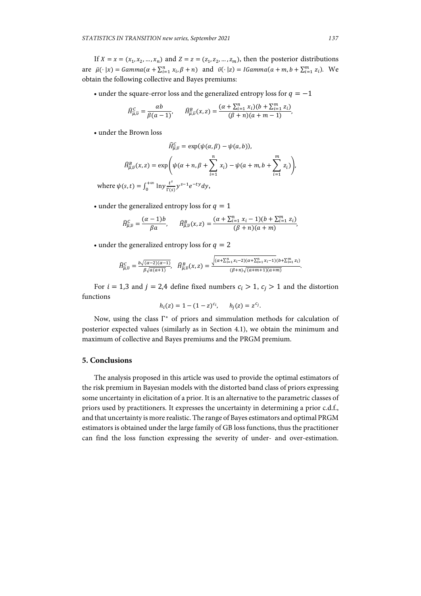If  $X = x = (x_1, x_2, ..., x_n)$  and  $Z = z = (z_1, z_2, ..., z_m)$ , then the posterior distributions are  $\bar{\mu}(\cdot | x) = \text{Gamma}(\alpha + \sum_{i=1}^{n} x_i, \beta + n)$  and  $\bar{v}(\cdot | z) = \text{Gamma}(\alpha + m, b + \sum_{i=1}^{m} z_i)$ . We obtain the following collective and Bayes premiums:

• under the square-error loss and the generalized entropy loss for  $q = -1$ 

$$
\hat{H}^c_{\overline{\mu},\overline{\nu}}=\frac{\alpha b}{\beta(a-1)},\qquad \hat{H}^B_{\overline{\mu},\overline{\nu}}(x,z)=\frac{(\alpha+\sum_{i=1}^nx_i)(b+\sum_{i=1}^m z_i)}{(\beta+n)(a+m-1)},
$$

• under the Brown loss

$$
\widehat{H}^C_{\overline{\mu},\overline{\nu}} = \exp(\psi(\alpha,\beta) - \psi(a,b)),
$$

$$
\widehat{H}_{\overline{\mu},\overline{\nu}}^B(x,z) = \exp\left(\psi(\alpha+n,\beta+\sum_{i=1}^n x_i) - \psi(a+m,b+\sum_{i=1}^m z_i)\right).
$$

where  $\psi(s, t) = \int_0^{+\infty} \ln y \frac{t^s}{\Gamma(s)} y^{s-1} e^{-ty} dy$ ,

• under the generalized entropy loss for  $q = 1$ 

$$
\widehat{H}^c_{\overline{\mu},\overline{\nu}} = \frac{(\alpha-1)b}{\beta a}, \qquad \widehat{H}^B_{\overline{\mu},\overline{\nu}}(x,z) = \frac{(\alpha+\sum_{i=1}^n x_i-1)(b+\sum_{i=1}^m z_i)}{(\beta+n)(a+m)},
$$

• under the generalized entropy loss for  $q = 2$ 

$$
\widehat{H}^C_{\overline{\mu},\overline{\nu}} = \frac{b\sqrt{(\alpha-2)(\alpha-1)}}{\beta\sqrt{\alpha(\alpha+1)}}, \quad \widehat{H}^B_{\overline{\mu},\overline{\nu}}(x,z) = \frac{\sqrt{(\alpha+\sum_{i=1}^n x_i-2)(\alpha+\sum_{i=1}^n x_i-1)(b+\sum_{i=1}^m z_i)}}{(\beta+n)\sqrt{(\alpha+m+1)(\alpha+m)}}.
$$

For  $i = 1,3$  and  $j = 2,4$  define fixed numbers  $c_i > 1$ ,  $c_j > 1$  and the distortion functions

$$
h_i(z) = 1 - (1 - z)^{c_i}, \quad h_j(z) = z^{c_j}.
$$

Now, using the class Γ∗ of priors and simmulation methods for calculation of posterior expected values (similarly as in Section 4.1), we obtain the minimum and maximum of collective and Bayes premiums and the PRGM premium.

## **5. Conclusions**

The analysis proposed in this article was used to provide the optimal estimators of the risk premium in Bayesian models with the distorted band class of priors expressing some uncertainty in elicitation of a prior. It is an alternative to the parametric classes of priors used by practitioners. It expresses the uncertainty in determining a prior c.d.f., and that uncertainty is more realistic. The range of Bayes estimators and optimal PRGM estimators is obtained under the large family of GB loss functions, thus the practitioner can find the loss function expressing the severity of under- and over-estimation.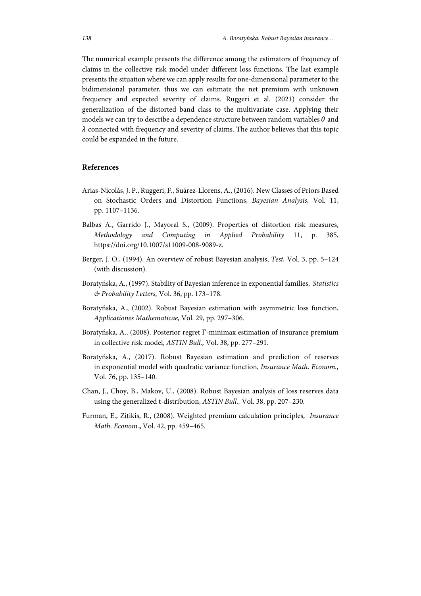The numerical example presents the difference among the estimators of frequency of claims in the collective risk model under different loss functions. The last example presents the situation where we can apply results for one-dimensional parameter to the bidimensional parameter, thus we can estimate the net premium with unknown frequency and expected severity of claims. Ruggeri et al. (2021) consider the generalization of the distorted band class to the multivariate case. Applying their models we can try to describe a dependence structure between random variables  $\theta$  and  $\lambda$  connected with frequency and severity of claims. The author believes that this topic could be expanded in the future.

## **References**

- Arias-Nicolás, J. P., Ruggeri, F., Suárez-Llorens, A., (2016). New Classes of Priors Based on Stochastic Orders and Distortion Functions, *Bayesian Analysis,* Vol. 11, pp. 1107–1136.
- Balbas A., Garrido J., Mayoral S., (2009). Properties of distortion risk measures, *Methodology and Computing in Applied Probability* 11, p. 385, https://doi.org/10.1007/s11009-008-9089-z.
- Berger, J. O., (1994). An overview of robust Bayesian analysis, *Test,* Vol. 3, pp. 5–124 (with discussion).
- Boratyńska, A., (1997). Stability of Bayesian inference in exponential families, *Statistics & Probability Letters,* Vol. 36, pp. 173–178.
- Boratyńska, A., (2002). Robust Bayesian estimation with asymmetric loss function, *Applicationes Mathematicae,* Vol. 29, pp. 297–306.
- Boratyńska, A., (2008). Posterior regret Γ-minimax estimation of insurance premium in collective risk model, *ASTIN Bull.,* Vol. 38, pp. 277–291.
- Boratyńska, A., (2017). Robust Bayesian estimation and prediction of reserves in exponential model with quadratic variance function, *Insurance Math. Econom.,*  Vol. 76, pp. 135–140.
- Chan, J., Choy, B., Makov, U., (2008). Robust Bayesian analysis of loss reserves data using the generalized t-distribution, *ASTIN Bull.,* Vol. 38, pp. 207–230.
- Furman, E., Zitikis, R., (2008). Weighted premium calculation principles, *Insurance Math. Econom.***,** Vol. 42, pp. 459–465.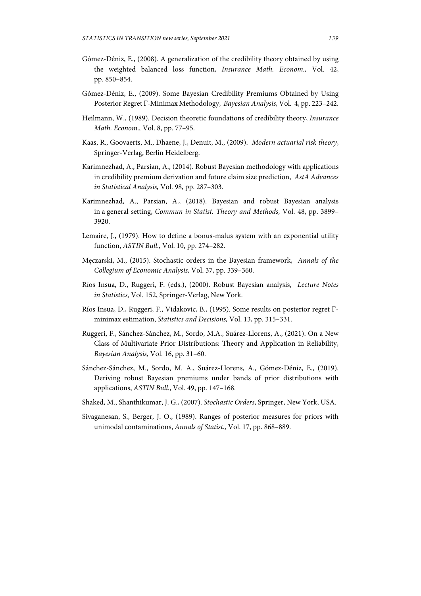- Gómez-Déniz, E., (2008). A generalization of the credibility theory obtained by using the weighted balanced loss function, *Insurance Math. Econom.,* Vol. 42, pp. 850–854.
- Gómez-Déniz, E., (2009). Some Bayesian Credibility Premiums Obtained by Using Posterior Regret Γ-Minimax Methodology, *Bayesian Analysis,* Vol. 4, pp. 223–242.
- Heilmann, W., (1989). Decision theoretic foundations of credibility theory, *Insurance Math. Econom.,* Vol. 8, pp. 77–95.
- Kaas, R., Goovaerts, M., Dhaene, J., Denuit, M., (2009). *Modern actuarial risk theory*, Springer-Verlag, Berlin Heidelberg.
- Karimnezhad, A., Parsian, A., (2014). Robust Bayesian methodology with applications in credibility premium derivation and future claim size prediction, *AstA Advances in Statistical Analysis,* Vol. 98, pp. 287–303.
- Karimnezhad, A., Parsian, A., (2018). Bayesian and robust Bayesian analysis in a general setting, *Commun in Statist. Theory and Methods,* Vol. 48, pp. 3899– 3920.
- Lemaire, J., (1979). How to define a bonus-malus system with an exponential utility function, *ASTIN Bull.,* Vol. 10, pp. 274–282.
- Męczarski, M., (2015). Stochastic orders in the Bayesian framework, *Annals of the Collegium of Economic Analysis,* Vol. 37, pp. 339–360.
- Ríos Insua, D., Ruggeri, F. (eds.), (2000). Robust Bayesian analysis, *Lecture Notes in Statistics,* Vol. 152, Springer-Verlag, New York.
- Ríos Insua, D., Ruggeri, F., Vidakovic, B., (1995). Some results on posterior regret Γminimax estimation, *Statistics and Decisions,* Vol. 13, pp. 315–331.
- Ruggeri, F., Sánchez-Sánchez, M., Sordo, M.A., Suárez-Llorens, A., (2021). On a New Class of Multivariate Prior Distributions: Theory and Application in Reliability, *Bayesian Analysis,* Vol. 16, pp. 31–60.
- Sánchez-Sánchez, M., Sordo, M. A., Suárez-Llorens, A., Gómez-Déniz, E., (2019). Deriving robust Bayesian premiums under bands of prior distributions with applications, *ASTIN Bull.*, Vol. 49, pp. 147–168.
- Shaked, M., Shanthikumar, J. G., (2007). *Stochastic Orders*, Springer, New York, USA.
- Sivaganesan, S., Berger, J. O., (1989). Ranges of posterior measures for priors with unimodal contaminations, *Annals of Statist.,* Vol. 17, pp. 868–889.